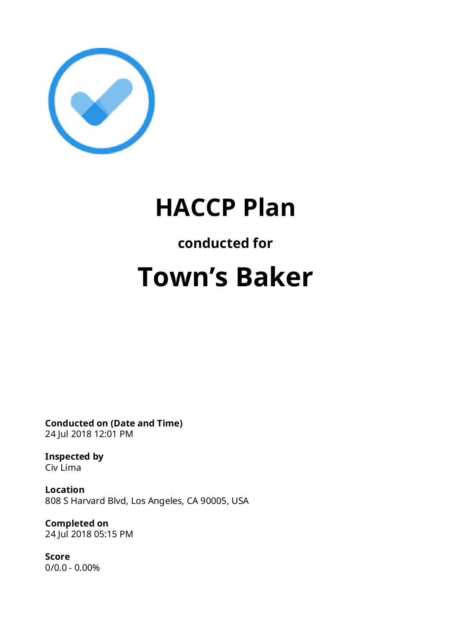

## **HACCP Plan**

### **conducted for**

# **Town's Baker**

**Conducted on (Date and Time)** 24 Jul 2018 12:01 PM

**Inspected by** Civ Lima

**Location** 808 S Harvard Blvd, Los Angeles, CA 90005, USA

**Completed on** 24 Jul 2018 05:15 PM

**Score** 0/0.0 - 0.00%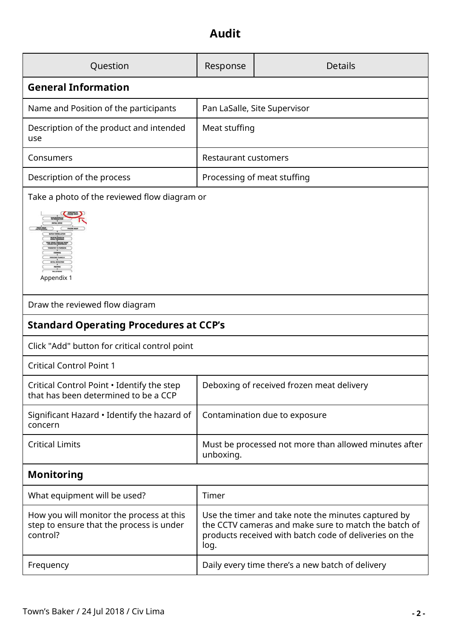### **Audit**

| Question                                                                                         | Response                     | <b>Details</b>                                                                                                                                                        |  |  |
|--------------------------------------------------------------------------------------------------|------------------------------|-----------------------------------------------------------------------------------------------------------------------------------------------------------------------|--|--|
| <b>General Information</b>                                                                       |                              |                                                                                                                                                                       |  |  |
| Name and Position of the participants                                                            | Pan LaSalle, Site Supervisor |                                                                                                                                                                       |  |  |
| Description of the product and intended<br>use                                                   | Meat stuffing                |                                                                                                                                                                       |  |  |
| Consumers                                                                                        | <b>Restaurant customers</b>  |                                                                                                                                                                       |  |  |
| Description of the process                                                                       | Processing of meat stuffing  |                                                                                                                                                                       |  |  |
| Take a photo of the reviewed flow diagram or<br>Appendix 1                                       |                              |                                                                                                                                                                       |  |  |
| Draw the reviewed flow diagram                                                                   |                              |                                                                                                                                                                       |  |  |
| <b>Standard Operating Procedures at CCP's</b>                                                    |                              |                                                                                                                                                                       |  |  |
| Click "Add" button for critical control point                                                    |                              |                                                                                                                                                                       |  |  |
| <b>Critical Control Point 1</b>                                                                  |                              |                                                                                                                                                                       |  |  |
| Critical Control Point . Identify the step<br>that has been determined to be a CCP               |                              | Deboxing of received frozen meat delivery                                                                                                                             |  |  |
| Significant Hazard . Identify the hazard of<br>concern                                           |                              | Contamination due to exposure                                                                                                                                         |  |  |
|                                                                                                  |                              |                                                                                                                                                                       |  |  |
| <b>Critical Limits</b>                                                                           | unboxing.                    | Must be processed not more than allowed minutes after                                                                                                                 |  |  |
| <b>Monitoring</b>                                                                                |                              |                                                                                                                                                                       |  |  |
| What equipment will be used?                                                                     | Timer                        |                                                                                                                                                                       |  |  |
| How you will monitor the process at this<br>step to ensure that the process is under<br>control? | log.                         | Use the timer and take note the minutes captured by<br>the CCTV cameras and make sure to match the batch of<br>products received with batch code of deliveries on the |  |  |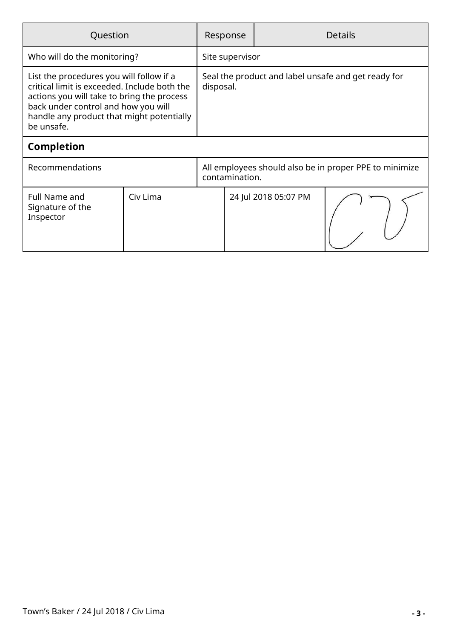| Question                                                                                                                                                                                                                                 |          |                                                                  | Response       |                      | <b>Details</b>                                         |  |
|------------------------------------------------------------------------------------------------------------------------------------------------------------------------------------------------------------------------------------------|----------|------------------------------------------------------------------|----------------|----------------------|--------------------------------------------------------|--|
| Who will do the monitoring?                                                                                                                                                                                                              |          | Site supervisor                                                  |                |                      |                                                        |  |
| List the procedures you will follow if a<br>critical limit is exceeded. Include both the<br>actions you will take to bring the process<br>back under control and how you will<br>handle any product that might potentially<br>be unsafe. |          | Seal the product and label unsafe and get ready for<br>disposal. |                |                      |                                                        |  |
| <b>Completion</b>                                                                                                                                                                                                                        |          |                                                                  |                |                      |                                                        |  |
| Recommendations                                                                                                                                                                                                                          |          |                                                                  | contamination. |                      | All employees should also be in proper PPE to minimize |  |
| <b>Full Name and</b><br>Signature of the<br>Inspector                                                                                                                                                                                    | Civ Lima |                                                                  |                | 24 Jul 2018 05:07 PM |                                                        |  |